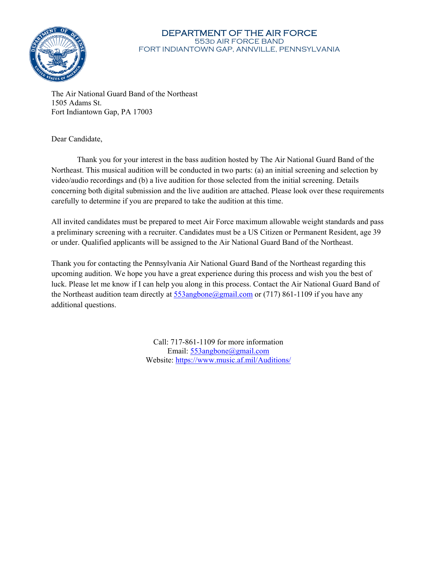

#### DEPARTMENT OF THE AIR FORCE 553d AIR FORCE BAND FORT INDIANTOWN GAP, ANNVILLE, PENNSYLVANIA

The Air National Guard Band of the Northeast 1505 Adams St. Fort Indiantown Gap, PA 17003

Dear Candidate,

Thank you for your interest in the bass audition hosted by The Air National Guard Band of the Northeast. This musical audition will be conducted in two parts: (a) an initial screening and selection by video/audio recordings and (b) a live audition for those selected from the initial screening. Details concerning both digital submission and the live audition are attached. Please look over these requirements carefully to determine if you are prepared to take the audition at this time.

All invited candidates must be prepared to meet Air Force maximum allowable weight standards and pass a preliminary screening with a recruiter. Candidates must be a US Citizen or Permanent Resident, age 39 or under. Qualified applicants will be assigned to the Air National Guard Band of the Northeast.

Thank you for contacting the Pennsylvania Air National Guard Band of the Northeast regarding this upcoming audition. We hope you have a great experience during this process and wish you the best of luck. Please let me know if I can help you along in this process. Contact the Air National Guard Band of the Northeast audition team directly at  $553$ angbone@gmail.com or (717) 861-1109 if you have any additional questions.

> Call: 717-861-1109 for more information Email: 553angbone@gmail.com Website: https://www.music.af.mil/Auditions/